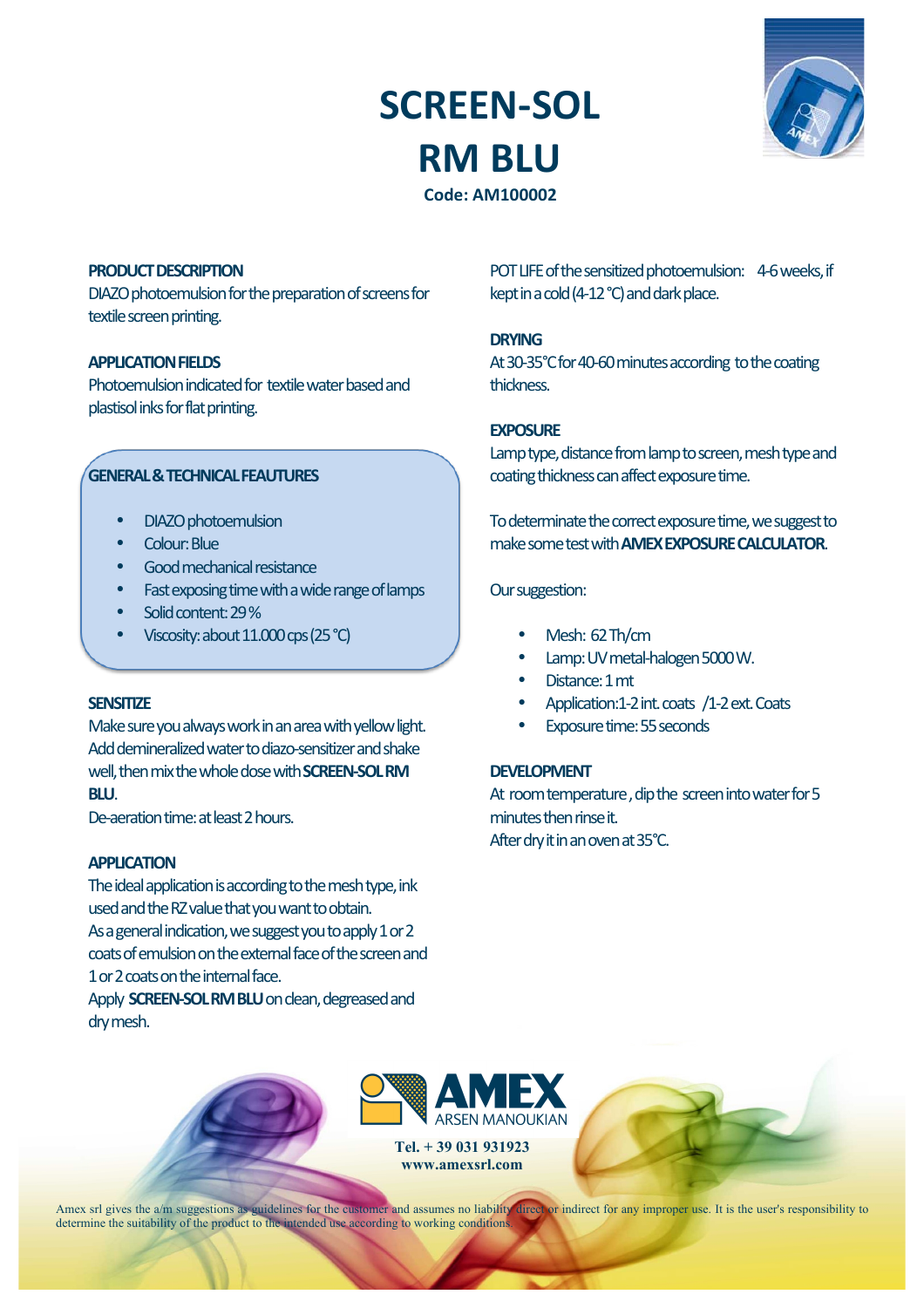# **SCREEN-SOL RM)BLU**



**)))))))))Code:)AM100002**

## **PRODUCT)DESCRIPTION**

DIAZO photoemulsion for the preparation of screens for textile screen printing.

## **APPLICATION)FIELDS**

Photoemulsion indicated for textile water based and plastisol inks for flat printing.

# **GENERAL)&)TECHNICAL)FEAUTURES**

- **DIAZO** photoemulsion
- Colour: Blue
- Good mechanical resistance
- Fast exposing time with a wide range of lamps
- Solid content: 29%
- Viscosity: about 11.000 cps (25 °C)

#### **SENSITIZE**

Make sure you always work in an area with yellow light. Add demineralized water to diazo-sensitizer and shake well, then mix the whole dose with **SCREEN-SOL RM BLU**.

De-aeration time: at least 2 hours.

# **APPLICATION**

The ideal application is according to the mesh type, ink used and the RZ value that you want to obtain. As a general indication, we suggest you to apply 1 or 2 coats of emulsion on the external face of the screen and 1 or 2 coats on the internal face.

Apply **SCREEN-SOL RM BLU** on clean, degreased and dry mesh.

POT LIFE of the sensitized photoemulsion: 4-6 weeks, if kept in a cold (4-12  $°C$ ) and dark place.

# **DRYING**

At 30-35°C for 40-60 minutes according to the coating thickness.

# **EXPOSURE**

Lamp type, distance from lamp to screen, mesh type and coating thickness can affect exposure time.

To determinate the correct exposure time, we suggest to make some test with **AMEX EXPOSURE CALCULATOR.** 

## Our suggestion:

- Mesh: 62 Th/cm
- Lamp: UV metal-halogen 5000 W.
- Distance: 1 mt
- Application:1-2 int. coats /1-2 ext. Coats
- Exposure time: 55 seconds

# **DEVELOPMENT**

At room temperature, dip the screen into water for 5 minutes then rinse it. After dry it in an oven at  $35^{\circ}$ C.



Amex srl gives the a/m suggestions as guidelines for the customer and assumes no liability direct or indirect for any improper use. It is the user's responsibility to determine the suitability of the product to the intended use according to working conditions.